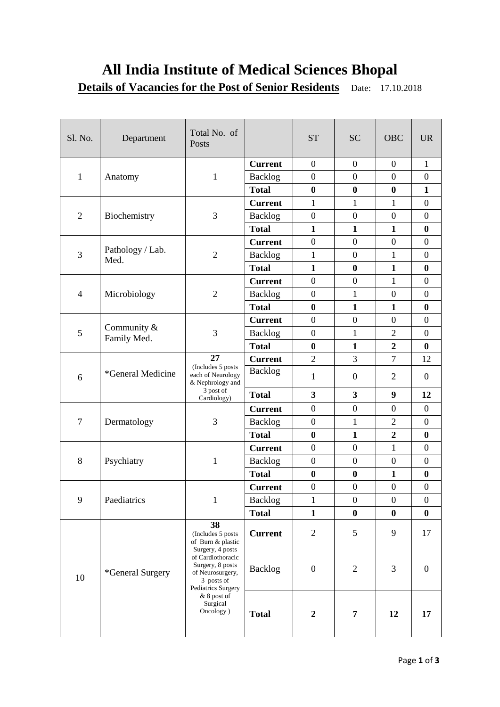# **All India Institute of Medical Sciences Bhopal**

**Details of Vacancies for the Post of Senior Residents** Date: 17.10.2018

| Sl. No.        | Department                    | Total No. of<br>Posts                                                                                                                                                                                     |                | <b>ST</b>               | <b>SC</b>        | <b>OBC</b>       | <b>UR</b>        |
|----------------|-------------------------------|-----------------------------------------------------------------------------------------------------------------------------------------------------------------------------------------------------------|----------------|-------------------------|------------------|------------------|------------------|
| $\mathbf{1}$   | Anatomy                       | $\mathbf{1}$                                                                                                                                                                                              | <b>Current</b> | $\boldsymbol{0}$        | $\boldsymbol{0}$ | $\boldsymbol{0}$ | $\mathbf{1}$     |
|                |                               |                                                                                                                                                                                                           | <b>Backlog</b> | $\overline{0}$          | $\boldsymbol{0}$ | $\overline{0}$   | $\mathbf{0}$     |
|                |                               |                                                                                                                                                                                                           | <b>Total</b>   | $\bf{0}$                | $\bf{0}$         | $\boldsymbol{0}$ | $\mathbf{1}$     |
| $\overline{2}$ | Biochemistry                  | 3                                                                                                                                                                                                         | <b>Current</b> | 1                       | 1                | 1                | $\mathbf{0}$     |
|                |                               |                                                                                                                                                                                                           | Backlog        | $\boldsymbol{0}$        | $\boldsymbol{0}$ | $\boldsymbol{0}$ | $\overline{0}$   |
|                |                               |                                                                                                                                                                                                           | <b>Total</b>   | $\mathbf{1}$            | $\mathbf{1}$     | $\mathbf{1}$     | $\boldsymbol{0}$ |
| 3              | Pathology / Lab.<br>Med.      | $\overline{2}$                                                                                                                                                                                            | <b>Current</b> | $\overline{0}$          | $\overline{0}$   | $\overline{0}$   | $\overline{0}$   |
|                |                               |                                                                                                                                                                                                           | <b>Backlog</b> | 1                       | $\boldsymbol{0}$ | 1                | $\boldsymbol{0}$ |
|                |                               |                                                                                                                                                                                                           | <b>Total</b>   | $\mathbf{1}$            | $\bf{0}$         | $\mathbf{1}$     | $\bf{0}$         |
| $\overline{4}$ | Microbiology                  | $\overline{2}$                                                                                                                                                                                            | <b>Current</b> | $\boldsymbol{0}$        | $\boldsymbol{0}$ | $\mathbf{1}$     | $\boldsymbol{0}$ |
|                |                               |                                                                                                                                                                                                           | Backlog        | $\boldsymbol{0}$        | $\mathbf{1}$     | $\boldsymbol{0}$ | $\mathbf{0}$     |
|                |                               |                                                                                                                                                                                                           | <b>Total</b>   | $\bf{0}$                | $\mathbf{1}$     | $\mathbf{1}$     | $\boldsymbol{0}$ |
|                | Community $\&$<br>Family Med. | 3                                                                                                                                                                                                         | <b>Current</b> | $\overline{0}$          | $\overline{0}$   | $\overline{0}$   | $\boldsymbol{0}$ |
| 5              |                               |                                                                                                                                                                                                           | Backlog        | $\boldsymbol{0}$        | $\mathbf{1}$     | $\overline{2}$   | $\mathbf{0}$     |
|                |                               |                                                                                                                                                                                                           | <b>Total</b>   | $\bf{0}$                | $\mathbf{1}$     | $\overline{2}$   | $\bf{0}$         |
|                | *General Medicine             | 27<br>(Includes 5 posts<br>each of Neurology<br>& Nephrology and                                                                                                                                          | <b>Current</b> | $\overline{2}$          | 3                | $\overline{7}$   | 12               |
| 6              |                               |                                                                                                                                                                                                           | Backlog        | 1                       | $\boldsymbol{0}$ | $\overline{2}$   | $\mathbf{0}$     |
|                |                               | 3 post of<br>Cardiology)                                                                                                                                                                                  | <b>Total</b>   | $\overline{\mathbf{3}}$ | 3                | 9                | 12               |
| 7              | Dermatology                   | 3                                                                                                                                                                                                         | <b>Current</b> | $\boldsymbol{0}$        | $\boldsymbol{0}$ | $\boldsymbol{0}$ | $\mathbf{0}$     |
|                |                               |                                                                                                                                                                                                           | Backlog        | $\boldsymbol{0}$        | 1                | $\overline{2}$   | $\overline{0}$   |
|                |                               |                                                                                                                                                                                                           | <b>Total</b>   | $\bf{0}$                | $\mathbf{1}$     | $\overline{2}$   | $\boldsymbol{0}$ |
|                | Psychiatry                    | $\mathbf{1}$                                                                                                                                                                                              | <b>Current</b> | $\overline{0}$          | $\boldsymbol{0}$ | $\mathbf{1}$     | $\boldsymbol{0}$ |
| 8              |                               |                                                                                                                                                                                                           | <b>Backlog</b> | $\boldsymbol{0}$        | $\boldsymbol{0}$ | $\boldsymbol{0}$ | $\boldsymbol{0}$ |
|                |                               |                                                                                                                                                                                                           | <b>Total</b>   | $\bf{0}$                | $\bf{0}$         | $\mathbf{1}$     | $\boldsymbol{0}$ |
| 9              | Paediatrics                   | $\mathbf{1}$                                                                                                                                                                                              | <b>Current</b> | $\boldsymbol{0}$        | $\boldsymbol{0}$ | $\boldsymbol{0}$ | $\boldsymbol{0}$ |
|                |                               |                                                                                                                                                                                                           | Backlog        | $\mathbf{1}$            | $\boldsymbol{0}$ | $\boldsymbol{0}$ | $\boldsymbol{0}$ |
|                |                               |                                                                                                                                                                                                           | <b>Total</b>   | $\mathbf{1}$            | $\bf{0}$         | $\bf{0}$         | $\boldsymbol{0}$ |
| 10             | *General Surgery              | 38<br>(Includes 5 posts<br>of Burn & plastic<br>Surgery, 4 posts<br>of Cardiothoracic<br>Surgery, 8 posts<br>of Neurosurgery,<br>3 posts of<br>Pediatrics Surgery<br>& 8 post of<br>Surgical<br>Oncology) | <b>Current</b> | $\mathfrak{2}$          | 5                | 9                | 17               |
|                |                               |                                                                                                                                                                                                           | Backlog        | $\boldsymbol{0}$        | $\mathfrak{2}$   | 3                | $\boldsymbol{0}$ |
|                |                               |                                                                                                                                                                                                           | <b>Total</b>   | $\boldsymbol{2}$        | 7                | 12               | 17               |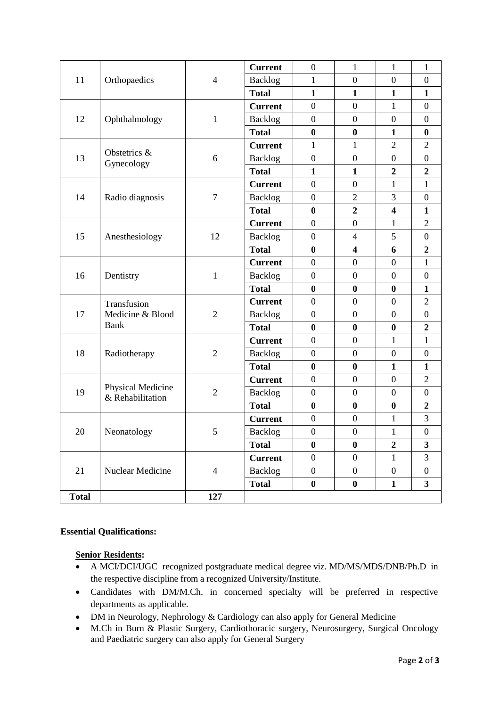|              |                                       |                | <b>Current</b> | $\boldsymbol{0}$ | $\mathbf{1}$            | $\mathbf{1}$            | $\mathbf{1}$            |
|--------------|---------------------------------------|----------------|----------------|------------------|-------------------------|-------------------------|-------------------------|
| 11           | Orthopaedics                          | $\overline{4}$ | Backlog        | $\mathbf{1}$     | $\boldsymbol{0}$        | $\boldsymbol{0}$        | $\boldsymbol{0}$        |
| 12           | Ophthalmology                         | $\mathbf{1}$   | <b>Total</b>   | $\mathbf{1}$     | $\mathbf{1}$            | $\mathbf{1}$            | $\mathbf{1}$            |
|              |                                       |                | <b>Current</b> | $\boldsymbol{0}$ | $\overline{0}$          | 1                       | $\overline{0}$          |
|              |                                       |                | Backlog        | $\boldsymbol{0}$ | $\boldsymbol{0}$        | $\boldsymbol{0}$        | $\boldsymbol{0}$        |
| 13           | Obstetrics &<br>Gynecology            | 6              | <b>Total</b>   | $\boldsymbol{0}$ | $\boldsymbol{0}$        | $\mathbf{1}$            | $\boldsymbol{0}$        |
|              |                                       |                | <b>Current</b> | $\mathbf{1}$     | 1                       | $\overline{2}$          | $\overline{2}$          |
|              |                                       |                | Backlog        | $\boldsymbol{0}$ | $\boldsymbol{0}$        | $\overline{0}$          | $\boldsymbol{0}$        |
| 14           | Radio diagnosis                       | $\tau$         | <b>Total</b>   | $\mathbf{1}$     | $\mathbf{1}$            | $\boldsymbol{2}$        | $\boldsymbol{2}$        |
|              |                                       |                | <b>Current</b> | $\boldsymbol{0}$ | $\boldsymbol{0}$        | $\mathbf{1}$            | $\mathbf{1}$            |
|              |                                       |                | Backlog        | $\boldsymbol{0}$ | $\overline{2}$          | 3                       | $\boldsymbol{0}$        |
| 15           | Anesthesiology                        | 12             | <b>Total</b>   | $\boldsymbol{0}$ | $\overline{2}$          | $\overline{\mathbf{4}}$ | $\mathbf{1}$            |
|              |                                       |                | <b>Current</b> | $\boldsymbol{0}$ | $\overline{0}$          | 1                       | $\overline{2}$          |
|              |                                       |                | <b>Backlog</b> | $\boldsymbol{0}$ | $\overline{4}$          | 5                       | $\boldsymbol{0}$        |
| 16           | Dentistry                             | $\mathbf{1}$   | <b>Total</b>   | $\boldsymbol{0}$ | $\overline{\mathbf{4}}$ | 6                       | $\overline{2}$          |
|              |                                       |                | <b>Current</b> | $\boldsymbol{0}$ | $\boldsymbol{0}$        | $\overline{0}$          | $\mathbf{1}$            |
|              |                                       |                | <b>Backlog</b> | $\overline{0}$   | $\boldsymbol{0}$        | $\boldsymbol{0}$        | $\boldsymbol{0}$        |
| 17           | Transfusion<br>Medicine & Blood       | $\overline{2}$ | <b>Total</b>   | $\boldsymbol{0}$ | $\boldsymbol{0}$        | $\boldsymbol{0}$        | $\mathbf{1}$            |
|              |                                       |                | <b>Current</b> | $\boldsymbol{0}$ | $\boldsymbol{0}$        | $\boldsymbol{0}$        | $\overline{2}$          |
|              |                                       |                | Backlog        | $\overline{0}$   | $\boldsymbol{0}$        | $\overline{0}$          | $\boldsymbol{0}$        |
| 18           | <b>Bank</b><br>Radiotherapy           | $\overline{2}$ | <b>Total</b>   | $\boldsymbol{0}$ | $\bf{0}$                | $\boldsymbol{0}$        | $\boldsymbol{2}$        |
|              |                                       |                | <b>Current</b> | $\overline{0}$   | $\boldsymbol{0}$        | $\mathbf{1}$            | $\mathbf{1}$            |
|              |                                       |                | Backlog        | $\boldsymbol{0}$ | $\boldsymbol{0}$        | $\boldsymbol{0}$        | $\boldsymbol{0}$        |
| 19           | Physical Medicine<br>& Rehabilitation | $\overline{2}$ | <b>Total</b>   | $\bf{0}$         | $\bf{0}$                | $\mathbf{1}$            | $\mathbf{1}$            |
|              |                                       |                | <b>Current</b> | $\boldsymbol{0}$ | $\boldsymbol{0}$        | $\overline{0}$          | $\overline{2}$          |
|              |                                       |                | <b>Backlog</b> | $\boldsymbol{0}$ | $\boldsymbol{0}$        | $\boldsymbol{0}$        | $\boldsymbol{0}$        |
| 20           | Neonatology                           | 5              | <b>Total</b>   | $\boldsymbol{0}$ | $\bf{0}$                | $\bf{0}$                | $\overline{2}$          |
|              |                                       |                | <b>Current</b> | $\boldsymbol{0}$ | $\boldsymbol{0}$        | $\mathbf{1}$            | 3                       |
|              |                                       |                | Backlog        | $\boldsymbol{0}$ | $\boldsymbol{0}$        | $\mathbf{1}$            | $\boldsymbol{0}$        |
| 21           | Nuclear Medicine                      | $\overline{4}$ | <b>Total</b>   | $\bf{0}$         | $\bf{0}$                | $\overline{2}$          | $\overline{\mathbf{3}}$ |
|              |                                       |                | <b>Current</b> | $\boldsymbol{0}$ | $\boldsymbol{0}$        | $\mathbf{1}$            | 3                       |
|              |                                       |                | <b>Backlog</b> | $\boldsymbol{0}$ | $\boldsymbol{0}$        | $\boldsymbol{0}$        | $\boldsymbol{0}$        |
|              |                                       |                | <b>Total</b>   | $\boldsymbol{0}$ | $\boldsymbol{0}$        | $\mathbf{1}$            | $\mathbf{3}$            |
| <b>Total</b> |                                       | 127            |                |                  |                         |                         |                         |

#### **Essential Qualifications:**

### **Senior Residents:**

- A MCI/DCI/UGC recognized postgraduate medical degree viz. MD/MS/MDS/DNB/Ph.D in the respective discipline from a recognized University/Institute.
- Candidates with DM/M.Ch. in concerned specialty will be preferred in respective departments as applicable.
- DM in Neurology, Nephrology & Cardiology can also apply for General Medicine
- M.Ch in Burn & Plastic Surgery, Cardiothoracic surgery, Neurosurgery, Surgical Oncology and Paediatric surgery can also apply for General Surgery